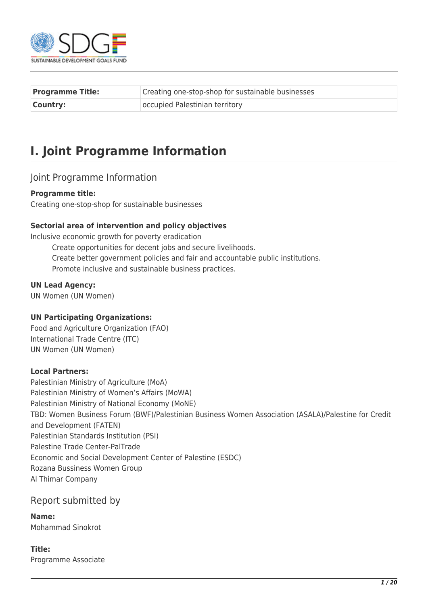

| <b>Programme Title:</b> | Creating one-stop-shop for sustainable businesses |
|-------------------------|---------------------------------------------------|
| <b>Country:</b>         | occupied Palestinian territory                    |

# **I. Joint Programme Information**

#### Joint Programme Information

#### **Programme title:**

Creating one-stop-shop for sustainable businesses

#### **Sectorial area of intervention and policy objectives**

Inclusive economic growth for poverty eradication Create opportunities for decent jobs and secure livelihoods. Create better government policies and fair and accountable public institutions. Promote inclusive and sustainable business practices.

#### **UN Lead Agency:**

UN Women (UN Women)

#### **UN Participating Organizations:**

Food and Agriculture Organization (FAO) International Trade Centre (ITC) UN Women (UN Women)

#### **Local Partners:**

Palestinian Ministry of Agriculture (MoA) Palestinian Ministry of Women's Affairs (MoWA) Palestinian Ministry of National Economy (MoNE) TBD: Women Business Forum (BWF)/Palestinian Business Women Association (ASALA)/Palestine for Credit and Development (FATEN) Palestinian Standards Institution (PSI) Palestine Trade Center-PalTrade Economic and Social Development Center of Palestine (ESDC) Rozana Bussiness Women Group Al Thimar Company

#### Report submitted by

**Name:**  Mohammad Sinokrot

#### **Title:**  Programme Associate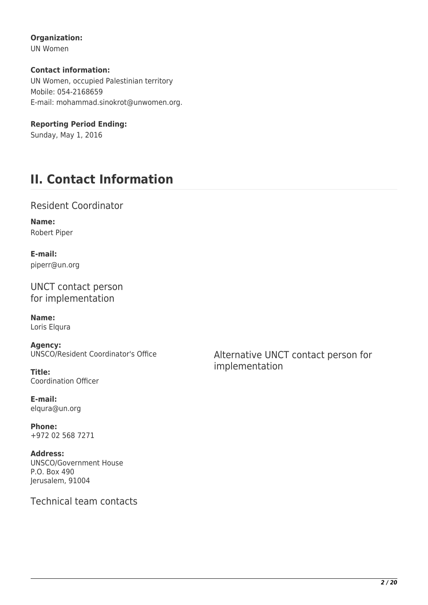#### **Organization:**

UN Women

#### **Contact information:**

UN Women, occupied Palestinian territory Mobile: 054-2168659 E-mail: mohammad.sinokrot@unwomen.org.

#### **Reporting Period Ending:**

Sunday, May 1, 2016

# **II. Contact Information**

### Resident Coordinator

**Name:**  Robert Piper

**E-mail:**  piperr@un.org

UNCT contact person for implementation

**Name:**  Loris Elqura

**Agency:**  UNSCO/Resident Coordinator's Office

**Title:**  Coordination Officer

**E-mail:**  elqura@un.org

**Phone:**  +972 02 568 7271

**Address:**  UNSCO/Government House P.O. Box 490 Jerusalem, 91004

Technical team contacts

Alternative UNCT contact person for implementation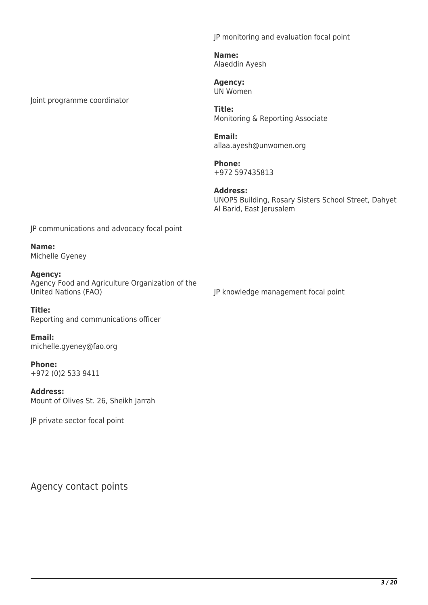JP monitoring and evaluation focal point

**Name:**  Alaeddin Ayesh

**Agency:**  UN Women

**Title:**  Monitoring & Reporting Associate

**Email:**  allaa.ayesh@unwomen.org

**Phone:**  +972 597435813

**Address:**  UNOPS Building, Rosary Sisters School Street, Dahyet Al Barid, East Jerusalem

JP communications and advocacy focal point

**Name:**  Michelle Gyeney

Joint programme coordinator

**Agency:**  Agency Food and Agriculture Organization of the United Nations (FAO)

JP knowledge management focal point

**Title:**  Reporting and communications officer

**Email:**  michelle.gyeney@fao.org

**Phone:**  +972 (0)2 533 9411

**Address:**  Mount of Olives St. 26, Sheikh Jarrah

JP private sector focal point

Agency contact points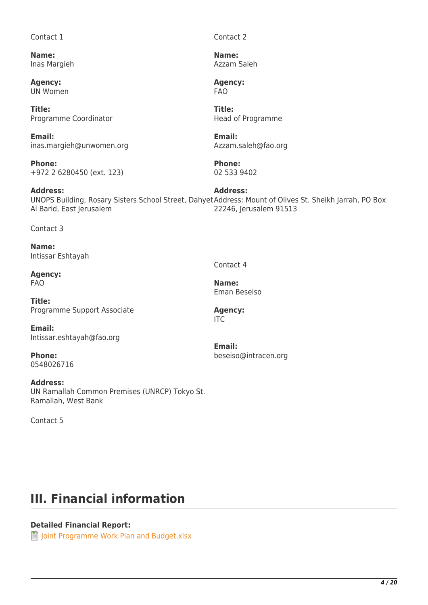#### Contact 1

**Name:**  Inas Margieh

**Agency:**  UN Women

**Title:**  Programme Coordinator

**Email:**  inas.margieh@unwomen.org

**Phone:**  +972 2 6280450 (ext. 123)

**Address:**  UNOPS Building, Rosary Sisters School Street, Dahyet Address: Mount of Olives St. Sheikh Jarrah, PO Box Al Barid, East Jerusalem **Address:**  22246, Jerusalem 91513

Contact 3

**Name:**  Intissar Eshtayah

**Agency:**  FAO

**Title:**  Programme Support Associate

**Email:**  Intissar.eshtayah@fao.org

**Phone:**  0548026716

**Address:**  UN Ramallah Common Premises (UNRCP) Tokyo St. Ramallah, West Bank

Contact 5

Contact 4

**Name:**  Eman Beseiso

**Agency:**  ITC

**Email:**  beseiso@intracen.org

Contact 2

**Name:**  Azzam Saleh

**Agency:**  FAO

**Title:**  Head of Programme

**Email:**  Azzam.saleh@fao.org

**Phone:**  02 533 9402

**III. Financial information**

#### **Detailed Financial Report:**

**[Joint Programme Work Plan and Budget.xlsx](http://proposals.sdgfund.org/system/files/report-attachments/Joint%20Programme%20Work%20Plan%20and%20Budget_0.xlsx)**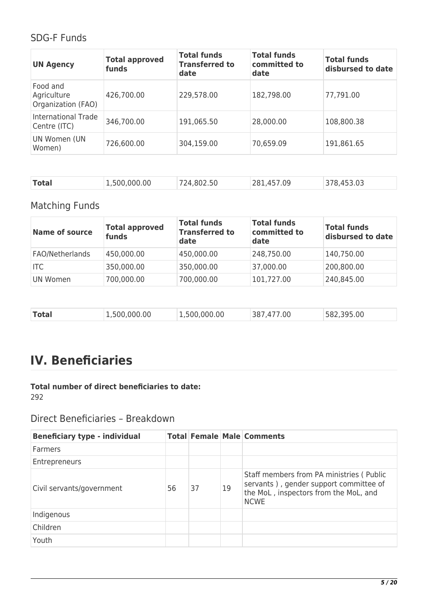## SDG-F Funds

| <b>UN Agency</b>                              | <b>Total approved</b><br>funds | <b>Total funds</b><br><b>Transferred to</b><br>date | <b>Total funds</b><br>committed to<br>date | <b>Total funds</b><br>disbursed to date |
|-----------------------------------------------|--------------------------------|-----------------------------------------------------|--------------------------------------------|-----------------------------------------|
| Food and<br>Agriculture<br>Organization (FAO) | 426,700.00                     | 229,578.00                                          | 182,798.00                                 | 77,791.00                               |
| International Trade<br>Centre (ITC)           | 346,700.00                     | 191,065.50                                          | 28,000.00                                  | 108,800.38                              |
| UN Women (UN<br>Women)                        | 726,600.00                     | 304,159.00                                          | 70,659.09                                  | 191,861.65                              |

| <b>Total</b><br>1,500,000.00<br>281,457.09<br>378,453.03<br>724,802.50 |  |
|------------------------------------------------------------------------|--|
|------------------------------------------------------------------------|--|

## Matching Funds

| <b>Name of source</b> | <b>Total approved</b><br>funds | <b>Total funds</b><br><b>Transferred to</b><br>date | <b>Total funds</b><br>committed to<br>date | <b>Total funds</b><br>disbursed to date |
|-----------------------|--------------------------------|-----------------------------------------------------|--------------------------------------------|-----------------------------------------|
| FAO/Netherlands       | 450,000.00                     | 450,000.00                                          | 248,750.00                                 | 140,750.00                              |
| <b>ITC</b>            | 350,000.00                     | 350,000.00                                          | 37,000.00                                  | 200,800.00                              |
| UN Women              | 700,000.00                     | 700,000.00                                          | 101,727.00                                 | 240,845.00                              |

| <b>Total</b> | 1,500,000.00 | 1,500,000.00 | 7.00<br>387.47 | 582,395.00 |
|--------------|--------------|--------------|----------------|------------|
|              |              |              |                |            |

# **IV. Beneficiaries**

#### **Total number of direct beneficiaries to date:**  292

Direct Beneficiaries – Breakdown

| <b>Beneficiary type - individual</b> |    |    |    | <b>Total Female Male Comments</b>                                                                                                          |
|--------------------------------------|----|----|----|--------------------------------------------------------------------------------------------------------------------------------------------|
| <b>Farmers</b>                       |    |    |    |                                                                                                                                            |
| Entrepreneurs                        |    |    |    |                                                                                                                                            |
| Civil servants/government            | 56 | 37 | 19 | Staff members from PA ministries (Public<br>servants), gender support committee of<br>the MoL, inspectors from the MoL, and<br><b>NCWE</b> |
| Indigenous                           |    |    |    |                                                                                                                                            |
| Children                             |    |    |    |                                                                                                                                            |
| Youth                                |    |    |    |                                                                                                                                            |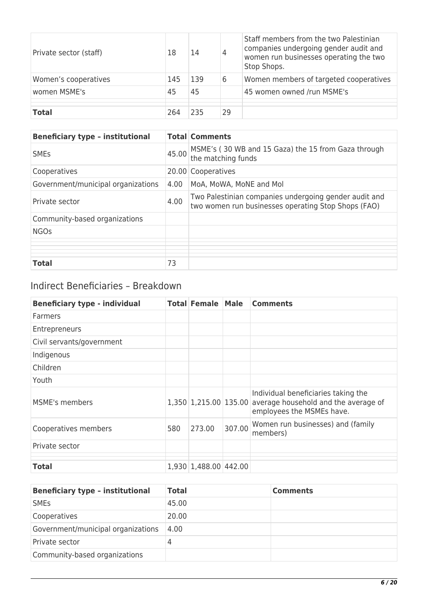| Private sector (staff) | 18  | 14  | 4  | Staff members from the two Palestinian<br>companies undergoing gender audit and<br>women run businesses operating the two<br>Stop Shops. |
|------------------------|-----|-----|----|------------------------------------------------------------------------------------------------------------------------------------------|
| Women's cooperatives   | 145 | 139 | 6  | Women members of targeted cooperatives                                                                                                   |
| women MSME's           | 45  | 45  |    | 45 women owned /run MSME's                                                                                                               |
|                        |     |     |    |                                                                                                                                          |
| <b>Total</b>           | 264 | 235 | 29 |                                                                                                                                          |

| <b>Beneficiary type - institutional</b> |       | <b>Total Comments</b>                                                                                        |
|-----------------------------------------|-------|--------------------------------------------------------------------------------------------------------------|
| <b>SME<sub>S</sub></b>                  | 45.00 | MSME's (30 WB and 15 Gaza) the 15 from Gaza through<br>the matching funds                                    |
| Cooperatives                            |       | 20.00 Cooperatives                                                                                           |
| Government/municipal organizations      | 4.00  | MoA, MoWA, MoNE and Mol                                                                                      |
| Private sector                          | 4.00  | Two Palestinian companies undergoing gender audit and<br>two women run businesses operating Stop Shops (FAO) |
| Community-based organizations           |       |                                                                                                              |
| <b>NGOs</b>                             |       |                                                                                                              |
|                                         |       |                                                                                                              |
|                                         |       |                                                                                                              |
|                                         |       |                                                                                                              |
| <b>Total</b>                            | 73    |                                                                                                              |

## Indirect Beneficiaries – Breakdown

| <b>Beneficiary type - individual</b> |     | <b>Total Female Male</b> |        | <b>Comments</b>                                                                                                                |
|--------------------------------------|-----|--------------------------|--------|--------------------------------------------------------------------------------------------------------------------------------|
| Farmers                              |     |                          |        |                                                                                                                                |
| Entrepreneurs                        |     |                          |        |                                                                                                                                |
| Civil servants/government            |     |                          |        |                                                                                                                                |
| Indigenous                           |     |                          |        |                                                                                                                                |
| Children                             |     |                          |        |                                                                                                                                |
| Youth                                |     |                          |        |                                                                                                                                |
| <b>MSME's members</b>                |     |                          |        | Individual beneficiaries taking the<br>1,350 1,215.00 135.00 average household and the average of<br>employees the MSMEs have. |
| Cooperatives members                 | 580 | 273.00                   | 307.00 | Women run businesses) and (family<br>members)                                                                                  |
| Private sector                       |     |                          |        |                                                                                                                                |
| <b>Total</b>                         |     | 1,930 1,488.00 442.00    |        |                                                                                                                                |
|                                      |     |                          |        |                                                                                                                                |

| <b>Beneficiary type - institutional</b> | <b>Total</b> | <b>Comments</b> |
|-----------------------------------------|--------------|-----------------|
| <b>SME<sub>s</sub></b>                  | 45.00        |                 |
| Cooperatives                            | 20.00        |                 |
| Government/municipal organizations      | 4.00         |                 |
| Private sector                          | 4            |                 |
| Community-based organizations           |              |                 |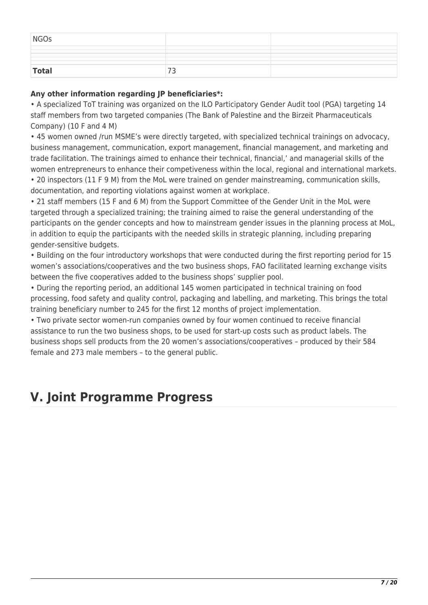| NGOs         |          |  |
|--------------|----------|--|
|              |          |  |
| <b>Total</b> | <u>.</u> |  |

#### **Any other information regarding JP beneficiaries\*:**

• A specialized ToT training was organized on the ILO Participatory Gender Audit tool (PGA) targeting 14 staff members from two targeted companies (The Bank of Palestine and the Birzeit Pharmaceuticals Company) (10 F and 4 M)

• 45 women owned /run MSME's were directly targeted, with specialized technical trainings on advocacy, business management, communication, export management, financial management, and marketing and trade facilitation. The trainings aimed to enhance their technical, financial,' and managerial skills of the women entrepreneurs to enhance their competiveness within the local, regional and international markets.

• 20 inspectors (11 F 9 M) from the MoL were trained on gender mainstreaming, communication skills, documentation, and reporting violations against women at workplace.

• 21 staff members (15 F and 6 M) from the Support Committee of the Gender Unit in the MoL were targeted through a specialized training; the training aimed to raise the general understanding of the participants on the gender concepts and how to mainstream gender issues in the planning process at MoL, in addition to equip the participants with the needed skills in strategic planning, including preparing gender-sensitive budgets.

• Building on the four introductory workshops that were conducted during the first reporting period for 15 women's associations/cooperatives and the two business shops, FAO facilitated learning exchange visits between the five cooperatives added to the business shops' supplier pool.

• During the reporting period, an additional 145 women participated in technical training on food processing, food safety and quality control, packaging and labelling, and marketing. This brings the total training beneficiary number to 245 for the first 12 months of project implementation.

• Two private sector women-run companies owned by four women continued to receive financial assistance to run the two business shops, to be used for start-up costs such as product labels. The business shops sell products from the 20 women's associations/cooperatives – produced by their 584 female and 273 male members – to the general public.

## **V. Joint Programme Progress**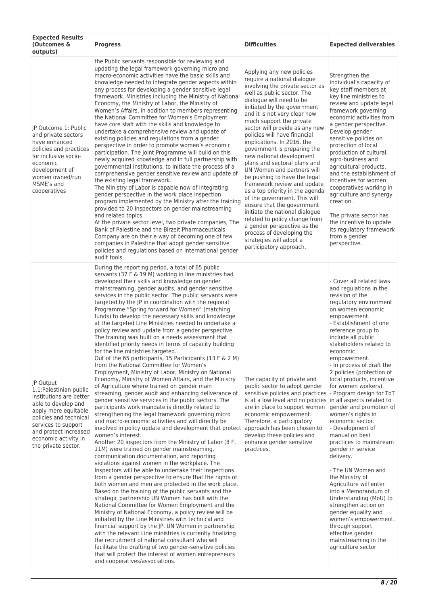| <b>Expected Results</b><br>(Outcomes &<br>outputs)                                                                                                                                                                                      | <b>Progress</b>                                                                                                                                                                                                                                                                                                                                                                                                                                                                                                                                                                                                                                                                                                                                                                                                                                                                                                                                                                                                                                                                                                                                                                                                                                                                                                                                                                                                                                                                                                                                                                                                                                                                                                                                                                                                                                                                                                                                                                                                                                                                                                                                                                                                                                                                                                                                                                       | <b>Difficulties</b>                                                                                                                                                                                                                                                                                                                                                                                                                                                                                                                                                                                                                                                                                                                                                                                                            | <b>Expected deliverables</b>                                                                                                                                                                                                                                                                                                                                                                                                                                                                                                                                                                                                                                                                                                                                                                                                                                        |
|-----------------------------------------------------------------------------------------------------------------------------------------------------------------------------------------------------------------------------------------|---------------------------------------------------------------------------------------------------------------------------------------------------------------------------------------------------------------------------------------------------------------------------------------------------------------------------------------------------------------------------------------------------------------------------------------------------------------------------------------------------------------------------------------------------------------------------------------------------------------------------------------------------------------------------------------------------------------------------------------------------------------------------------------------------------------------------------------------------------------------------------------------------------------------------------------------------------------------------------------------------------------------------------------------------------------------------------------------------------------------------------------------------------------------------------------------------------------------------------------------------------------------------------------------------------------------------------------------------------------------------------------------------------------------------------------------------------------------------------------------------------------------------------------------------------------------------------------------------------------------------------------------------------------------------------------------------------------------------------------------------------------------------------------------------------------------------------------------------------------------------------------------------------------------------------------------------------------------------------------------------------------------------------------------------------------------------------------------------------------------------------------------------------------------------------------------------------------------------------------------------------------------------------------------------------------------------------------------------------------------------------------|--------------------------------------------------------------------------------------------------------------------------------------------------------------------------------------------------------------------------------------------------------------------------------------------------------------------------------------------------------------------------------------------------------------------------------------------------------------------------------------------------------------------------------------------------------------------------------------------------------------------------------------------------------------------------------------------------------------------------------------------------------------------------------------------------------------------------------|---------------------------------------------------------------------------------------------------------------------------------------------------------------------------------------------------------------------------------------------------------------------------------------------------------------------------------------------------------------------------------------------------------------------------------------------------------------------------------------------------------------------------------------------------------------------------------------------------------------------------------------------------------------------------------------------------------------------------------------------------------------------------------------------------------------------------------------------------------------------|
| IP Outcome 1: Public<br>and private sectors<br>have enhanced<br>policies and practices<br>for inclusive socio-<br>economic<br>development of<br>women owned/run<br>MSME's and<br>cooperatives                                           | the Public servants responsible for reviewing and<br>updating the legal framework governing micro and<br>macro-economic activities have the basic skills and<br>knowledge needed to integrate gender aspects within<br>any process for developing a gender sensitive legal<br>framework. Ministries including the Ministry of National<br>Economy, the Ministry of Labor, the Ministry of<br>Women's Affairs, in addition to members representing<br>the National Committee for Women's Employment<br>have core staff with the skills and knowledge to<br>undertake a comprehensive review and update of<br>existing policies and regulations from a gender<br>perspective in order to promote women's economic<br>participation. The Joint Programme will build on this<br>newly acquired knowledge and in full partnership with<br>governmental institutions, to initiate the process of a<br>comprehensive gender sensitive review and update of<br>the existing legal framework.<br>The Ministry of Labor is capable now of integrating<br>gender perspective in the work place inspection<br>program implemented by the Ministry after the training<br>provided to 20 Inspectors on gender mainstreaming<br>and related topics.<br>At the private sector level, two private companies, The<br>Bank of Palestine and the Birzeit Pharmaceuticals<br>Company are on their e way of becoming one of few<br>companies in Palestine that adopt gender sensitive<br>policies and regulations based on international gender<br>audit tools.                                                                                                                                                                                                                                                                                                                                                                                                                                                                                                                                                                                                                                                                                                                                                                                                                                             | Applying any new policies<br>require a national dialogue<br>involving the private sector as<br>well as public sector. The<br>dialogue will need to be<br>initiated by the government<br>and it is not very clear how<br>much support the private<br>sector will provide as any new<br>policies will have financial<br>implications. In 2016, the<br>government is preparing the<br>new national development<br>plans and sectoral plans and<br>UN Women and partners will<br>be pushing to have the legal<br>framework review and update<br>as a top priority in the agenda<br>of the government. This will<br>ensure that the government<br>initiate the national dialogue<br>related to policy change from<br>a gender perspective as the<br>process of developing the<br>strategies will adopt a<br>participatory approach. | Strengthen the<br>individual's capacity of<br>key staff members at<br>key line ministries to<br>review and update legal<br>framework governing<br>economic activities from<br>a gender perspective.<br>Develop gender<br>sensitive policies on<br>protection of local<br>production of cultural,<br>agro-business and<br>agricultural products,<br>and the establishment of<br>incentives for women<br>cooperatives working in<br>agriculture and synergy<br>creation.<br>The private sector has<br>the incentive to update<br>its regulatory framework<br>from a gender<br>perspective.                                                                                                                                                                                                                                                                            |
| JP Output<br>1.1: Palestinian public<br>institutions are better<br>able to develop and<br>apply more equitable<br>policies and technical<br>services to support<br>and protect increased<br>economic activity in<br>the private sector. | During the reporting period, a total of 65 public<br>servants (37 F & 19 M) working in line ministries had<br>developed their skills and knowledge on gender<br>mainstreaming, gender audits, and gender sensitive<br>services in the public sector. The public servants were<br>targeted by the JP in coordination with the regional<br>Programme "Spring forward for Women" (matching<br>funds) to develop the necessary skills and knowledge<br>at the targeted Line Ministries needed to undertake a<br>policy review and update from a gender perspective.<br>The training was built on a needs assessment that<br>identified priority needs in terms of capacity building<br>for the line ministries targeted.<br>Out of the 65 participants, 15 Participants (13 F & 2 M)<br>from the National Committee for Women's<br>Employment, Ministry of Labor, Ministry on National<br>Economy, Ministry of Women Affairs, and the Ministry<br>of Agriculture where trained on gender main<br>streaming, gender audit and enhancing deliverance of<br>gender sensitive services in the public sectors. The<br>participants work mandate is directly related to<br>strengthening the legal framework governing micro<br>and macro-economic activities and will directly be<br>involved in policy update and development that protect approach has been chosen to<br>women's interest.<br>Another 20 inspectors from the Ministry of Labor (8 F,<br>11M) were trained on gender mainstreaming,<br>communication documentation, and reporting<br>violations against women in the workplace. The<br>Inspectors will be able to undertake their inspections<br>from a gender perspective to ensure that the rights of<br>both women and men are protected in the work place.<br>Based on the training of the public servants and the<br>strategic partnership UN Women has built with the<br>National Committee for Women Employment and the<br>Ministry of National Economy, a policy review will be<br>initiated by the Line Ministries with technical and<br>financial support by the JP. UN Women in partnership<br>with the relevant Line ministries is currently finalizing<br>the recruitment of national consultant who will<br>facilitate the drafting of two gender-sensitive policies<br>that will protect the interest of women entrepreneurs<br>and cooperatives/associations. | The capacity of private and<br>public sector to adopt gender<br>sensitive policies and practices<br>is at a low level and no policies in all aspects related to<br>are in place to support women<br>economic empowerment.<br>Therefore, a participatory<br>develop these policies and<br>enhance gender sensitive<br>practices.                                                                                                                                                                                                                                                                                                                                                                                                                                                                                                | - Cover all related laws<br>and regulations in the<br>revision of the<br>regulatory environment<br>on women economic<br>empowerment.<br>- Establishment of one<br>reference group to<br>include all public<br>stakeholders related to<br>economic<br>empowerment.<br>- In process of draft the<br>2 policies (protection of<br>local products, incentive<br>for women workers).<br>- Program design for ToT<br>gender and promotion of<br>women's rights in<br>economic sector.<br>- Development of<br>manual on best<br>practices to mainstream<br>gender in service<br>delivery.<br>- The UN Women and<br>the Ministry of<br>Agriculture will enter<br>into a Memorandum of<br>Understanding (MoU) to<br>strengthen action on<br>gender equality and<br>women's empowerment,<br>through support<br>effective gender<br>mainstreaming in the<br>agriculture sector |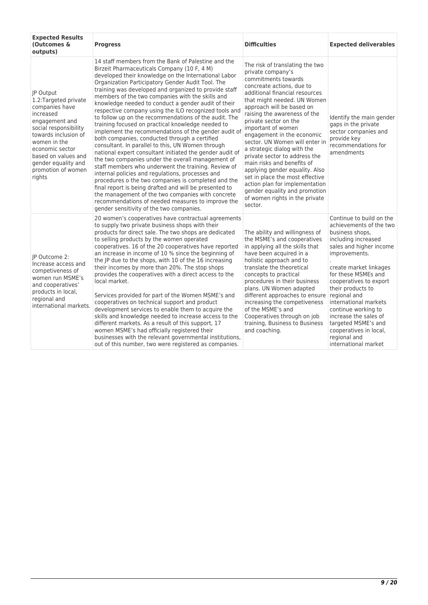| <b>Expected Results</b><br>(Outcomes &<br>outputs)                                                                                                                                                                                                           | <b>Progress</b>                                                                                                                                                                                                                                                                                                                                                                                                                                                                                                                                                                                                                                                                                                                                                                                                                                                                                                                                                                                                                                                                                                                                                                                                             | <b>Difficulties</b>                                                                                                                                                                                                                                                                                                                                                                                                                                                                                                                                                                                                                      | <b>Expected deliverables</b>                                                                                                                                                                                                                                                                                                                                                                                                |
|--------------------------------------------------------------------------------------------------------------------------------------------------------------------------------------------------------------------------------------------------------------|-----------------------------------------------------------------------------------------------------------------------------------------------------------------------------------------------------------------------------------------------------------------------------------------------------------------------------------------------------------------------------------------------------------------------------------------------------------------------------------------------------------------------------------------------------------------------------------------------------------------------------------------------------------------------------------------------------------------------------------------------------------------------------------------------------------------------------------------------------------------------------------------------------------------------------------------------------------------------------------------------------------------------------------------------------------------------------------------------------------------------------------------------------------------------------------------------------------------------------|------------------------------------------------------------------------------------------------------------------------------------------------------------------------------------------------------------------------------------------------------------------------------------------------------------------------------------------------------------------------------------------------------------------------------------------------------------------------------------------------------------------------------------------------------------------------------------------------------------------------------------------|-----------------------------------------------------------------------------------------------------------------------------------------------------------------------------------------------------------------------------------------------------------------------------------------------------------------------------------------------------------------------------------------------------------------------------|
| <b>IP Output</b><br>1.2: Targeted private<br>companies have<br>increased<br>engagement and<br>social responsibility<br>towards inclusion of<br>women in the<br>economic sector<br>based on values and<br>gender equality and<br>promotion of women<br>rights | 14 staff members from the Bank of Palestine and the<br>Birzeit Pharmaceuticals Company (10 F, 4 M)<br>developed their knowledge on the International Labor<br>Organization Participatory Gender Audit Tool. The<br>training was developed and organized to provide staff<br>members of the two companies with the skills and<br>knowledge needed to conduct a gender audit of their<br>respective company using the ILO recognized tools and<br>to follow up on the recommendations of the audit. The<br>training focused on practical knowledge needed to<br>implement the recommendations of the gender audit of<br>both companies, conducted through a certified<br>consultant. In parallel to this, UN Women through<br>national expert consultant initiated the gender audit of<br>the two companies under the overall management of<br>staff members who underwent the training. Review of<br>internal policies and regulations, processes and<br>procedures o the two companies is completed and the<br>final report is being drafted and will be presented to<br>the management of the two companies with concrete<br>recommendations of needed measures to improve the<br>gender sensitivity of the two companies. | The risk of translating the two<br>private company's<br>commitments towards<br>concreate actions, due to<br>additional financial resources<br>that might needed. UN Women<br>approach will be based on<br>raising the awareness of the<br>private sector on the<br>important of women<br>engagement in the economic<br>sector. UN Women will enter in<br>a strategic dialog with the<br>private sector to address the<br>main risks and benefits of<br>applying gender equality. Also<br>set in place the most effective<br>action plan for implementation<br>gender equality and promotion<br>of women rights in the private<br>sector. | Identify the main gender<br>gaps in the private<br>sector companies and<br>provide key<br>recommendations for<br>amendments                                                                                                                                                                                                                                                                                                 |
| IP Outcome 2:<br>Increase access and<br>competiveness of<br>women run MSME's<br>and cooperatives'<br>products in local,<br>regional and<br>international markets.                                                                                            | 20 women's cooperatives have contractual agreements<br>to supply two private business shops with their<br>products for direct sale. The two shops are dedicated<br>to selling products by the women operated<br>cooperatives. 16 of the 20 cooperatives have reported<br>an increase in income of 10 % since the beginning of<br>the JP due to the shops, with 10 of the 16 increasing<br>their incomes by more than 20%. The stop shops<br>provides the cooperatives with a direct access to the<br>local market.<br>Services provided for part of the Women MSME's and<br>cooperatives on technical support and product<br>development services to enable them to acquire the<br>skills and knowledge needed to increase access to the<br>different markets. As a result of this support, 17<br>women MSME's had officially registered their<br>businesses with the relevant governmental institutions,<br>out of this number, two were registered as companies.                                                                                                                                                                                                                                                          | The ability and willingness of<br>the MSME's and cooperatives<br>in applying all the skills that<br>have been acquired in a<br>holistic approach and to<br>translate the theoretical<br>concepts to practical<br>procedures in their business<br>plans. UN Women adapted<br>different approaches to ensure<br>increasing the competiveness<br>of the MSME's and<br>Cooperatives through on job<br>training, Business to Business<br>and coaching.                                                                                                                                                                                        | Continue to build on the<br>achievements of the two<br>business shops,<br>including increased<br>sales and higher income<br>improvements.<br>create market linkages<br>for these MSMEs and<br>cooperatives to export<br>their products to<br>regional and<br>international markets<br>continue working to<br>increase the sales of<br>targeted MSME's and<br>cooperatives in local,<br>regional and<br>international market |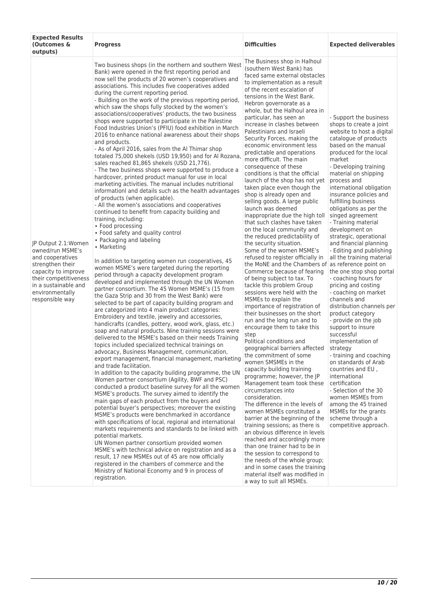| <b>Expected Results</b><br>(Outcomes &<br>outputs)                                                                                                                                            | <b>Progress</b>                                                                                                                                                                                                                                                                                                                                                                                                                                                                                                                                                                                                                                                                                                                                                                                                                                                                                                                                                                                                                                                                                                                                                                                                                                                                                                                                                                                                                                                                                                                                                                                                                                                                                                                                                                                                                                                                                                                                                                                                                                                                                                                                                                                                                                                                                                                                                                                                                                                                                                                                                                                                                                                                                                                                                                                                                                                                                                                                                                        | <b>Difficulties</b>                                                                                                                                                                                                                                                                                                                                                                                                                                                                                                                                                                                                                                                                                                                                                                                                                                                                                                                                                                                                                                                                                                                                                                                                                                                                                                                                                                                                                                                                                                                                                                                                                                                                                                                                                                                                                                                                                                      | <b>Expected deliverables</b>                                                                                                                                                                                                                                                                                                                                                                                                                                                                                                                                                                                                                                                                                                                                                                                                                                                                                                                                                                                                            |
|-----------------------------------------------------------------------------------------------------------------------------------------------------------------------------------------------|----------------------------------------------------------------------------------------------------------------------------------------------------------------------------------------------------------------------------------------------------------------------------------------------------------------------------------------------------------------------------------------------------------------------------------------------------------------------------------------------------------------------------------------------------------------------------------------------------------------------------------------------------------------------------------------------------------------------------------------------------------------------------------------------------------------------------------------------------------------------------------------------------------------------------------------------------------------------------------------------------------------------------------------------------------------------------------------------------------------------------------------------------------------------------------------------------------------------------------------------------------------------------------------------------------------------------------------------------------------------------------------------------------------------------------------------------------------------------------------------------------------------------------------------------------------------------------------------------------------------------------------------------------------------------------------------------------------------------------------------------------------------------------------------------------------------------------------------------------------------------------------------------------------------------------------------------------------------------------------------------------------------------------------------------------------------------------------------------------------------------------------------------------------------------------------------------------------------------------------------------------------------------------------------------------------------------------------------------------------------------------------------------------------------------------------------------------------------------------------------------------------------------------------------------------------------------------------------------------------------------------------------------------------------------------------------------------------------------------------------------------------------------------------------------------------------------------------------------------------------------------------------------------------------------------------------------------------------------------------|--------------------------------------------------------------------------------------------------------------------------------------------------------------------------------------------------------------------------------------------------------------------------------------------------------------------------------------------------------------------------------------------------------------------------------------------------------------------------------------------------------------------------------------------------------------------------------------------------------------------------------------------------------------------------------------------------------------------------------------------------------------------------------------------------------------------------------------------------------------------------------------------------------------------------------------------------------------------------------------------------------------------------------------------------------------------------------------------------------------------------------------------------------------------------------------------------------------------------------------------------------------------------------------------------------------------------------------------------------------------------------------------------------------------------------------------------------------------------------------------------------------------------------------------------------------------------------------------------------------------------------------------------------------------------------------------------------------------------------------------------------------------------------------------------------------------------------------------------------------------------------------------------------------------------|-----------------------------------------------------------------------------------------------------------------------------------------------------------------------------------------------------------------------------------------------------------------------------------------------------------------------------------------------------------------------------------------------------------------------------------------------------------------------------------------------------------------------------------------------------------------------------------------------------------------------------------------------------------------------------------------------------------------------------------------------------------------------------------------------------------------------------------------------------------------------------------------------------------------------------------------------------------------------------------------------------------------------------------------|
| JP Output 2.1:Women<br>owned/run MSME's<br>and cooperatives<br>strengthen their<br>capacity to improve<br>their competitiveness<br>in a sustainable and<br>environmentally<br>responsible way | Two business shops (in the northern and southern West<br>Bank) were opened in the first reporting period and<br>now sell the products of 20 women's cooperatives and<br>associations. This includes five cooperatives added<br>during the current reporting period.<br>- Building on the work of the previous reporting period,<br>which saw the shops fully stocked by the women's<br>associations/cooperatives' products, the two business<br>shops were supported to participate in the Palestine<br>Food Industries Union's (PFIU) food exhibition in March<br>2016 to enhance national awareness about their shops<br>and products.<br>- As of April 2016, sales from the Al Thimar shop<br>totaled 75,000 shekels (USD 19,950) and for Al Rozana,<br>sales reached 81,865 shekels (USD 21,776).<br>- The two business shops were supported to produce a<br>hardcover, printed product manual for use in local<br>marketing activities. The manual includes nutritional<br>informationl and details such as the health advantages<br>of products (when applicable).<br>- All the women's associations and cooperatives<br>continued to benefit from capacity building and<br>training, including:<br>• Food processing<br>• Food safety and quality control<br>• Packaging and labeling<br>• Marketing<br>In addition to targeting women run cooperatives, 45<br>women MSME's were targeted during the reporting<br>period through a capacity development program<br>developed and implemented through the UN Women<br>partner consortium. The 45 Women MSME's (15 from<br>the Gaza Strip and 30 from the West Bank) were<br>selected to be part of capacity building program and<br>are categorized into 4 main product categories:<br>Embroidery and textile, jewelry and accessories,<br>handicrafts (candles, pottery, wood work, glass, etc.)<br>soap and natural products. Nine training sessions were<br>delivered to the MSME's based on their needs Training<br>topics included specialized technical trainings on<br>advocacy, Business Management, communication,<br>export management, financial management, marketing<br>and trade facilitation.<br>In addition to the capacity building programme, the UN<br>Women partner consortium (Agility, BWF and PSC)<br>conducted a product baseline survey for all the women<br>MSME's products. The survey aimed to identify the<br>main gaps of each product from the buyers and<br>potential buyer's perspectives; moreover the existing<br>MSME's products were benchmarked in accordance<br>with specifications of local, regional and international<br>markets requirements and standards to be linked with<br>potential markets.<br>UN Women partner consortium provided women<br>MSME's with technical advice on registration and as a<br>result, 17 new MSMEs out of 45 are now officially<br>registered in the chambers of commerce and the<br>Ministry of National Economy and 9 in process of<br>registration. | The Business shop in Halhoul<br>(southern West Bank) has<br>faced same external obstacles<br>to implementation as a result<br>of the recent escalation of<br>tensions in the West Bank.<br>Hebron governorate as a<br>whole, but the Halhoul area in<br>particular, has seen an<br>increase in clashes between<br>Palestinians and Israeli<br>Security Forces, making the<br>economic environment less<br>predictable and operations<br>more difficult. The main<br>consequence of these<br>conditions is that the official<br>launch of the shop has not yet<br>taken place even though the<br>shop is already open and<br>selling goods. A large public<br>launch was deemed<br>inappropriate due the high toll<br>that such clashes have taken<br>on the local community and<br>the reduced predictability of<br>the security situation.<br>Some of the women MSME's<br>refused to register officially in<br>the MoNE and the Chambers of as reference point on<br>Commerce because of fearing<br>of being subject to tax. To<br>tackle this problem Group<br>sessions were held with the<br>MSMEs to explain the<br>importance of registration of<br>their businesses on the short<br>run and the long run and to<br>encourage them to take this<br>step<br>Political conditions and<br>geographical barriers affected<br>the commitment of some<br>women SMSMEs in the<br>capacity building training<br>programme; however, the JP<br>Management team took these<br>circumstances into<br>consideration.<br>The difference in the levels of<br>women MSMEs constituted a<br>barrier at the beginning of the<br>training sessions; as there is<br>an obvious difference in levels<br>reached and accordingly more<br>than one trainer had to be in<br>the session to correspond to<br>the needs of the whole group;<br>and in some cases the training<br>material itself was modified in<br>a way to suit all MSMEs. | - Support the business<br>shops to create a joint<br>website to host a digital<br>catalogue of products<br>based on the manual<br>produced for the local<br>market<br>- Developing training<br>material on shipping<br>process and<br>international obligation<br>insurance policies and<br>fulfilling business<br>obligations as per the<br>singed agreement<br>- Training material<br>development on<br>strategic, operational<br>and financial planning<br>- Editing and publishing<br>all the training material<br>the one stop shop portal<br>- coaching hours for<br>pricing and costing<br>- coaching on market<br>channels and<br>distribution channels per<br>product category<br>- provide on the job<br>support to insure<br>successful<br>implementation of<br>strategy<br>- training and coaching<br>on standards of Arab<br>countries and EU,<br>international<br>certification<br>- Selection of the 30<br>women MSMEs from<br>among the 45 trained<br>MSMEs for the grants<br>scheme through a<br>competitive approach. |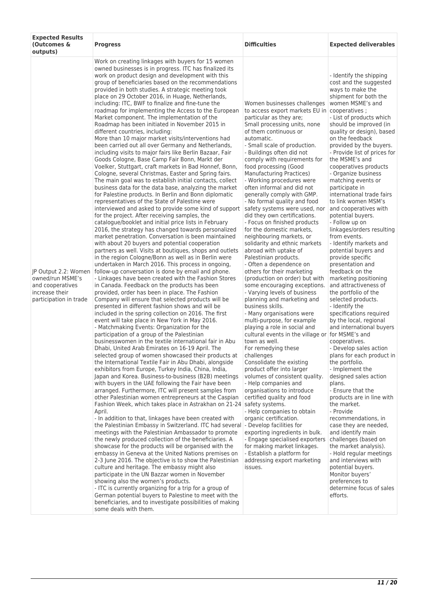| <b>Expected Results</b><br>(Outcomes &<br>outputs)                                                       | <b>Progress</b>                                                                                                                                                                                                                                                                                                                                                                                                                                                                                                                                                                                                                                                                                                                                                                                                                                                                                                                                                                                                                                                                                                                                                                                                                                                                                                                                                                                                                                                                                                                                                                                                                                                                                                                                                                                                                                                                                                                                                                                                                                                                                                                                                                                                                                                                                                                                                                                                                                                                                                                                                                                                                                                                                                                                                                                                                                                                                                                                                                                                                                                                                                                                                                                                                                                                                                                                                                                                                                                                                                                                                                    | <b>Difficulties</b>                                                                                                                                                                                                                                                                                                                                                                                                                                                                                                                                                                                                                                                                                                                                                                                                                                                                                                                                                                                                                                                                                                                                                                                                                                                                                                                                                                                                                                                                                                                                                   | <b>Expected deliverables</b>                                                                                                                                                                                                                                                                                                                                                                                                                                                                                                                                                                                                                                                                                                                                                                                                                                                                                                                                                                                                                                                                                                                                                                                                                                                                                                                                                           |
|----------------------------------------------------------------------------------------------------------|------------------------------------------------------------------------------------------------------------------------------------------------------------------------------------------------------------------------------------------------------------------------------------------------------------------------------------------------------------------------------------------------------------------------------------------------------------------------------------------------------------------------------------------------------------------------------------------------------------------------------------------------------------------------------------------------------------------------------------------------------------------------------------------------------------------------------------------------------------------------------------------------------------------------------------------------------------------------------------------------------------------------------------------------------------------------------------------------------------------------------------------------------------------------------------------------------------------------------------------------------------------------------------------------------------------------------------------------------------------------------------------------------------------------------------------------------------------------------------------------------------------------------------------------------------------------------------------------------------------------------------------------------------------------------------------------------------------------------------------------------------------------------------------------------------------------------------------------------------------------------------------------------------------------------------------------------------------------------------------------------------------------------------------------------------------------------------------------------------------------------------------------------------------------------------------------------------------------------------------------------------------------------------------------------------------------------------------------------------------------------------------------------------------------------------------------------------------------------------------------------------------------------------------------------------------------------------------------------------------------------------------------------------------------------------------------------------------------------------------------------------------------------------------------------------------------------------------------------------------------------------------------------------------------------------------------------------------------------------------------------------------------------------------------------------------------------------------------------------------------------------------------------------------------------------------------------------------------------------------------------------------------------------------------------------------------------------------------------------------------------------------------------------------------------------------------------------------------------------------------------------------------------------------------------------------------------------|-----------------------------------------------------------------------------------------------------------------------------------------------------------------------------------------------------------------------------------------------------------------------------------------------------------------------------------------------------------------------------------------------------------------------------------------------------------------------------------------------------------------------------------------------------------------------------------------------------------------------------------------------------------------------------------------------------------------------------------------------------------------------------------------------------------------------------------------------------------------------------------------------------------------------------------------------------------------------------------------------------------------------------------------------------------------------------------------------------------------------------------------------------------------------------------------------------------------------------------------------------------------------------------------------------------------------------------------------------------------------------------------------------------------------------------------------------------------------------------------------------------------------------------------------------------------------|----------------------------------------------------------------------------------------------------------------------------------------------------------------------------------------------------------------------------------------------------------------------------------------------------------------------------------------------------------------------------------------------------------------------------------------------------------------------------------------------------------------------------------------------------------------------------------------------------------------------------------------------------------------------------------------------------------------------------------------------------------------------------------------------------------------------------------------------------------------------------------------------------------------------------------------------------------------------------------------------------------------------------------------------------------------------------------------------------------------------------------------------------------------------------------------------------------------------------------------------------------------------------------------------------------------------------------------------------------------------------------------|
| JP Output 2.2: Women<br>owned/run MSME's<br>and cooperatives<br>increase their<br>participation in trade | Work on creating linkages with buyers for 15 women<br>owned businesses is in progress. ITC has finalized its<br>work on product design and development with this<br>group of beneficiaries based on the recommendations<br>provided in both studies. A strategic meeting took<br>place on 29 October 2016, in Huage, Netherlands,<br>including: ITC, BWF to finalize and fine-tune the<br>roadmap for implementing the Access to the European<br>Market component. The implementation of the<br>Roadmap has been initiated in November 2015 in<br>different countries, including:<br>More than 10 major market visits/interventions had<br>been carried out all over Germany and Netherlands,<br>including visits to major fairs like Berlin Bazaar, Fair<br>Goods Cologne, Base Camp Fair Bonn, Markt der<br>Voelker, Stuttgart, craft markets in Bad Honnef, Bonn,<br>Cologne, several Christmas, Easter and Spring fairs.<br>The main goal was to establish initial contacts, collect<br>business data for the data base, analyzing the market<br>for Palestine products. In Berlin and Bonn diplomatic<br>representatives of the State of Palestine were<br>interviewed and asked to provide some kind of support<br>for the project. After receiving samples, the<br>catalogue/booklet and initial price lists in February<br>2016, the strategy has changed towards personalized<br>market penetration. Conversation is been maintained<br>with about 20 buyers and potential cooperation<br>partners as well. Visits at boutiques, shops and outlets<br>in the region Cologne/Bonn as well as in Berlin were<br>undertaken in March 2016. This process in ongoing,<br>follow-up conversation is done by email and phone.<br>- Linkages have been created with the Fashion Stores<br>in Canada. Feedback on the products has been<br>provided, order has been in place. The Fashion<br>Company will ensure that selected products will be<br>presented in different fashion shows and will be<br>included in the spring collection on 2016. The first<br>event will take place in New York in May 2016.<br>- Matchmaking Events: Organization for the<br>participation of a group of the Palestinian<br>businesswomen in the textile international fair in Abu<br>Dhabi, United Arab Emirates on 16-19 April. The<br>selected group of women showcased their products at<br>the International Textile Fair in Abu Dhabi, alongside<br>exhibitors from Europe, Turkey India, China, India,<br>Japan and Korea. Business-to-business (B2B) meetings<br>with buyers in the UAE following the Fair have been<br>arranged. Furthermore, ITC will present samples from<br>other Palestinian women entrepreneurs at the Caspian<br>Fashion Week, which takes place in Astrakhan on 21-24 safety systems.<br>April.<br>- In addition to that, linkages have been created with<br>the Palestinian Embassy in Switzerland. ITC had several<br>meetings with the Palestinian Ambassador to promote<br>the newly produced collection of the beneficiaries. A<br>showcase for the products will be organised with the<br>embassy in Geneva at the United Nations premises on<br>2-3 June 2016. The objective is to show the Palestinian<br>culture and heritage. The embassy might also<br>participate in the UN Bazzar women in November<br>showing also the women's products.<br>- ITC is currently organizing for a trip for a group of<br>German potential buyers to Palestine to meet with the<br>beneficiaries, and to investigate possibilities of making<br>some deals with them. | Women businesses challenges<br>to access export markets EU in cooperatives;<br>particular as they are;<br>Small processing units, none<br>of them continuous or<br>automatic.<br>- Small scale of production.<br>- Buildings often did not<br>comply with requirements for<br>food processing (Good<br>Manufacturing Practices)<br>- Working procedures were<br>often informal and did not<br>generally comply with GMP.<br>- No formal quality and food<br>safety systems were used, nor<br>did they own certifications.<br>- Focus on finished products<br>for the domestic markets.<br>neighbouring markets, or<br>solidarity and ethnic markets<br>abroad with uptake of<br>Palestinian products.<br>- Often a dependence on<br>others for their marketing<br>(production on order) but with<br>some encouraging exceptions.<br>- Varying levels of business<br>planning and marketing and<br>business skills.<br>- Many organisations were<br>multi-purpose, for example<br>playing a role in social and<br>cultural events in the village or for MSME's and<br>town as well.<br>For remedying these<br>challenges<br>Consolidate the existing<br>product offer into larger<br>volumes of consistent quality.<br>- Help companies and<br>organisations to introduce<br>certified quality and food<br>- Help companies to obtain<br>organic certification.<br>- Develop facilities for<br>exporting ingredients in bulk.<br>- Engage specialised exporters<br>for making market linkages.<br>- Establish a platform for<br>addressing export marketing<br>issues. | - Identify the shipping<br>cost and the suggested<br>ways to make the<br>shipment for both the<br>women MSME's and<br>- List of products which<br>should be improved (in<br>quality or design), based<br>on the feedback<br>provided by the buyers.<br>- Provide list of prices for<br>the MSME's and<br>cooperatives products<br>- Organize business<br>matching events or<br>participate in<br>international trade fairs<br>to link women MSM's<br>and cooperatives with<br>potential buyers.<br>- Follow up on<br>linkages/orders resulting<br>from events.<br>- Identify markets and<br>potential buyers and<br>provide specific<br>presentation and<br>feedback on the<br>marketing positioning<br>and attractiveness of<br>the portfolio of the<br>selected products.<br>- Identify the<br>specifications required<br>by the local, regional<br>and international buyers<br>cooperatives.<br>- Develop sales action<br>plans for each product in<br>the portfolio.<br>- Implement the<br>designed sales action<br>plans.<br>- Ensure that the<br>products are in line with<br>the market.<br>- Provide<br>recommendations, in<br>case they are needed,<br>and identify main<br>challenges (based on<br>the market analysis).<br>- Hold regular meetings<br>and interviews with<br>potential buyers.<br>Monitor buyers'<br>preferences to<br>determine focus of sales<br>efforts. |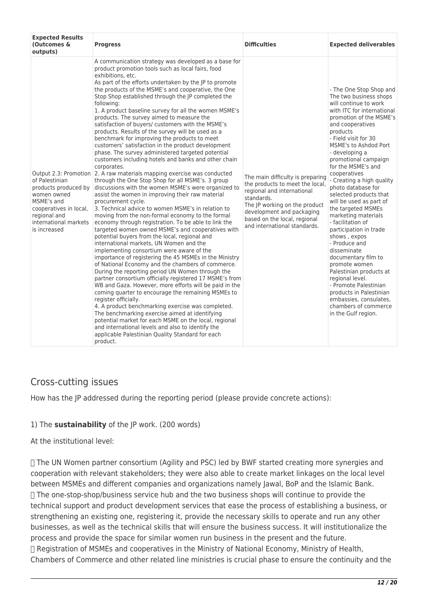| <b>Expected Results</b><br>(Outcomes &<br>outputs)                                                                                                     | <b>Progress</b>                                                                                                                                                                                                                                                                                                                                                                                                                                                                                                                                                                                                                                                                                                                                                                                                                                                                                                                                                                                                                                                                                                                                                                                                                                                                                                                                                                                                                                                                                                                                                                                                                                                                                                                                                                                                                                                                                                                                                                                                                                                   | <b>Difficulties</b>                                                                                                                                                                                                                           | <b>Expected deliverables</b>                                                                                                                                                                                                                                                                                                                                                                                                                                                                                                                                                                                                                                                                                                                                                |
|--------------------------------------------------------------------------------------------------------------------------------------------------------|-------------------------------------------------------------------------------------------------------------------------------------------------------------------------------------------------------------------------------------------------------------------------------------------------------------------------------------------------------------------------------------------------------------------------------------------------------------------------------------------------------------------------------------------------------------------------------------------------------------------------------------------------------------------------------------------------------------------------------------------------------------------------------------------------------------------------------------------------------------------------------------------------------------------------------------------------------------------------------------------------------------------------------------------------------------------------------------------------------------------------------------------------------------------------------------------------------------------------------------------------------------------------------------------------------------------------------------------------------------------------------------------------------------------------------------------------------------------------------------------------------------------------------------------------------------------------------------------------------------------------------------------------------------------------------------------------------------------------------------------------------------------------------------------------------------------------------------------------------------------------------------------------------------------------------------------------------------------------------------------------------------------------------------------------------------------|-----------------------------------------------------------------------------------------------------------------------------------------------------------------------------------------------------------------------------------------------|-----------------------------------------------------------------------------------------------------------------------------------------------------------------------------------------------------------------------------------------------------------------------------------------------------------------------------------------------------------------------------------------------------------------------------------------------------------------------------------------------------------------------------------------------------------------------------------------------------------------------------------------------------------------------------------------------------------------------------------------------------------------------------|
| of Palestinian<br>products produced by<br>women owned<br>MSME's and<br>cooperatives in local,<br>regional and<br>international markets<br>is increased | A communication strategy was developed as a base for<br>product promotion tools such as local fairs, food<br>exhibitions, etc.<br>As part of the efforts undertaken by the JP to promote<br>the products of the MSME's and cooperative, the One<br>Stop Shop established through the JP completed the<br>following:<br>1. A product baseline survey for all the women MSME's<br>products. The survey aimed to measure the<br>satisfaction of buyers/ customers with the MSME's<br>products. Results of the survey will be used as a<br>benchmark for improving the products to meet<br>customers' satisfaction in the product development<br>phase. The survey administered targeted potential<br>customers including hotels and banks and other chain<br>corporates.<br>Output 2.3: Promotion 2. A raw materials mapping exercise was conducted<br>through the One Stop Shop for all MSME's. 3 group<br>discussions with the women MSME's were organized to<br>assist the women in improving their raw material<br>procurement cycle.<br>3. Technical advice to women MSME's in relation to<br>moving from the non-formal economy to the formal<br>economy through registration. To be able to link the<br>targeted women owned MSME's and cooperatives with<br>potential buyers from the local, regional and<br>international markets, UN Women and the<br>implementing consortium were aware of the<br>importance of registering the 45 MSMEs in the Ministry<br>of National Economy and the chambers of commerce.<br>During the reporting period UN Women through the<br>partner consortium officially registered 17 MSME's from<br>WB and Gaza. However, more efforts will be paid in the<br>coming quarter to encourage the remaining MSMEs to<br>register officially.<br>4. A product benchmarking exercise was completed.<br>The benchmarking exercise aimed at identifying<br>potential market for each MSME on the local, regional<br>and international levels and also to identify the<br>applicable Palestinian Quality Standard for each<br>product. | The main difficulty is preparing<br>the products to meet the local,<br>regional and international<br>standards.<br>The JP working on the product<br>development and packaging<br>based on the local, regional<br>and international standards. | - The One Stop Shop and<br>The two business shops<br>will continue to work<br>with ITC for international<br>promotion of the MSME's<br>and cooperatives<br>products<br>- Field visit for 30<br>MSME's to Ashdod Port<br>- developing a<br>promotional campaign<br>for the MSME's and<br>cooperatives<br>- Creating a high quality<br>photo database for<br>selected products that<br>will be used as part of<br>the targeted MSMEs<br>marketing materials<br>- facilitation of<br>participation in trade<br>shows, expos<br>- Produce and<br>disseminate<br>documentary film to<br>promote women<br>Palestinian products at<br>regional level.<br>- Promote Palestinian<br>products in Palestinian<br>embassies, consulates,<br>chambers of commerce<br>in the Gulf region. |

## Cross-cutting issues

How has the JP addressed during the reporting period (please provide concrete actions):

#### 1) The **sustainability** of the JP work. (200 words)

#### At the institutional level:

 The UN Women partner consortium (Agility and PSC) led by BWF started creating more synergies and cooperation with relevant stakeholders; they were also able to create market linkages on the local level between MSMEs and different companies and organizations namely Jawal, BoP and the Islamic Bank. The one-stop-shop/business service hub and the two business shops will continue to provide the technical support and product development services that ease the process of establishing a business, or strengthening an existing one, registering it, provide the necessary skills to operate and run any other businesses, as well as the technical skills that will ensure the business success. It will institutionalize the process and provide the space for similar women run business in the present and the future. Registration of MSMEs and cooperatives in the Ministry of National Economy, Ministry of Health, Chambers of Commerce and other related line ministries is crucial phase to ensure the continuity and the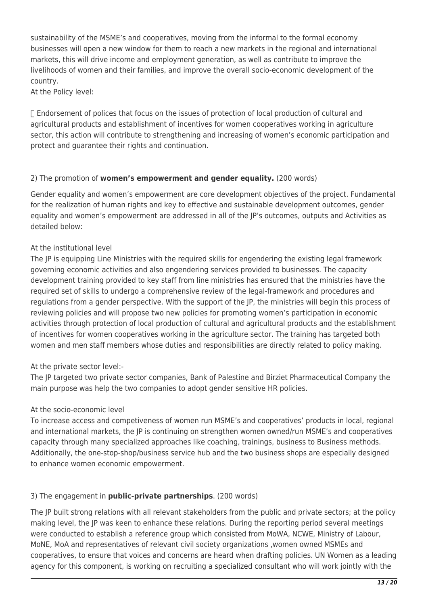sustainability of the MSME's and cooperatives, moving from the informal to the formal economy businesses will open a new window for them to reach a new markets in the regional and international markets, this will drive income and employment generation, as well as contribute to improve the livelihoods of women and their families, and improve the overall socio-economic development of the country.

At the Policy level:

 Endorsement of polices that focus on the issues of protection of local production of cultural and agricultural products and establishment of incentives for women cooperatives working in agriculture sector, this action will contribute to strengthening and increasing of women's economic participation and protect and guarantee their rights and continuation.

#### 2) The promotion of **women's empowerment and gender equality.** (200 words)

Gender equality and women's empowerment are core development objectives of the project. Fundamental for the realization of human rights and key to effective and sustainable development outcomes, gender equality and women's empowerment are addressed in all of the JP's outcomes, outputs and Activities as detailed below:

#### At the institutional level

The JP is equipping Line Ministries with the required skills for engendering the existing legal framework governing economic activities and also engendering services provided to businesses. The capacity development training provided to key staff from line ministries has ensured that the ministries have the required set of skills to undergo a comprehensive review of the legal-framework and procedures and regulations from a gender perspective. With the support of the JP, the ministries will begin this process of reviewing policies and will propose two new policies for promoting women's participation in economic activities through protection of local production of cultural and agricultural products and the establishment of incentives for women cooperatives working in the agriculture sector. The training has targeted both women and men staff members whose duties and responsibilities are directly related to policy making.

#### At the private sector level:-

The JP targeted two private sector companies, Bank of Palestine and Birziet Pharmaceutical Company the main purpose was help the two companies to adopt gender sensitive HR policies.

#### At the socio-economic level

To increase access and competiveness of women run MSME's and cooperatives' products in local, regional and international markets, the JP is continuing on strengthen women owned/run MSME's and cooperatives capacity through many specialized approaches like coaching, trainings, business to Business methods. Additionally, the one-stop-shop/business service hub and the two business shops are especially designed to enhance women economic empowerment.

#### 3) The engagement in **public-private partnerships**. (200 words)

The JP built strong relations with all relevant stakeholders from the public and private sectors; at the policy making level, the JP was keen to enhance these relations. During the reporting period several meetings were conducted to establish a reference group which consisted from MoWA, NCWE, Ministry of Labour, MoNE, MoA and representatives of relevant civil society organizations ,women owned MSMEs and cooperatives, to ensure that voices and concerns are heard when drafting policies. UN Women as a leading agency for this component, is working on recruiting a specialized consultant who will work jointly with the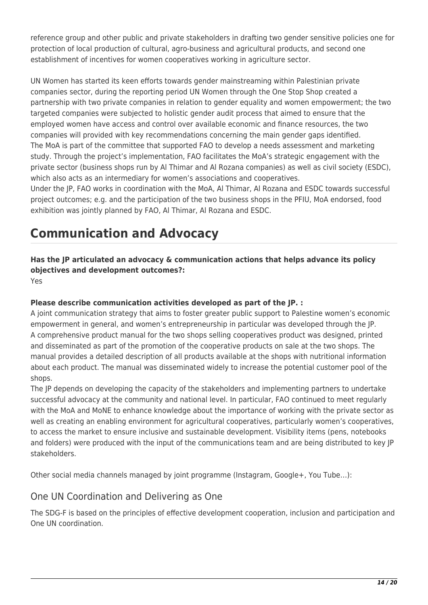reference group and other public and private stakeholders in drafting two gender sensitive policies one for protection of local production of cultural, agro-business and agricultural products, and second one establishment of incentives for women cooperatives working in agriculture sector.

UN Women has started its keen efforts towards gender mainstreaming within Palestinian private companies sector, during the reporting period UN Women through the One Stop Shop created a partnership with two private companies in relation to gender equality and women empowerment; the two targeted companies were subjected to holistic gender audit process that aimed to ensure that the employed women have access and control over available economic and finance resources, the two companies will provided with key recommendations concerning the main gender gaps identified. The MoA is part of the committee that supported FAO to develop a needs assessment and marketing study. Through the project's implementation, FAO facilitates the MoA's strategic engagement with the private sector (business shops run by Al Thimar and Al Rozana companies) as well as civil society (ESDC), which also acts as an intermediary for women's associations and cooperatives.

Under the JP, FAO works in coordination with the MoA, Al Thimar, Al Rozana and ESDC towards successful project outcomes; e.g. and the participation of the two business shops in the PFIU, MoA endorsed, food exhibition was jointly planned by FAO, Al Thimar, Al Rozana and ESDC.

# **Communication and Advocacy**

**Has the JP articulated an advocacy & communication actions that helps advance its policy objectives and development outcomes?:** 

Yes

#### **Please describe communication activities developed as part of the JP. :**

A joint communication strategy that aims to foster greater public support to Palestine women's economic empowerment in general, and women's entrepreneurship in particular was developed through the JP. A comprehensive product manual for the two shops selling cooperatives product was designed, printed and disseminated as part of the promotion of the cooperative products on sale at the two shops. The manual provides a detailed description of all products available at the shops with nutritional information about each product. The manual was disseminated widely to increase the potential customer pool of the shops.

The JP depends on developing the capacity of the stakeholders and implementing partners to undertake successful advocacy at the community and national level. In particular, FAO continued to meet regularly with the MoA and MoNE to enhance knowledge about the importance of working with the private sector as well as creating an enabling environment for agricultural cooperatives, particularly women's cooperatives, to access the market to ensure inclusive and sustainable development. Visibility items (pens, notebooks and folders) were produced with the input of the communications team and are being distributed to key JP stakeholders.

Other social media channels managed by joint programme (Instagram, Google+, You Tube…):

### One UN Coordination and Delivering as One

The SDG-F is based on the principles of effective development cooperation, inclusion and participation and One UN coordination.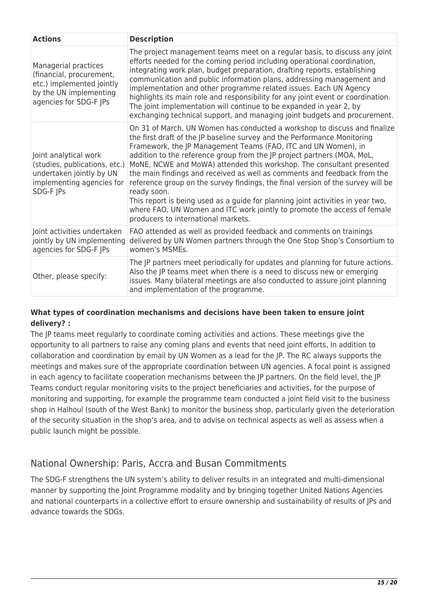| <b>Actions</b>                                                                                                                    | <b>Description</b>                                                                                                                                                                                                                                                                                                                                                                                                                                                                                                                                                                                                                                                                                                                                              |
|-----------------------------------------------------------------------------------------------------------------------------------|-----------------------------------------------------------------------------------------------------------------------------------------------------------------------------------------------------------------------------------------------------------------------------------------------------------------------------------------------------------------------------------------------------------------------------------------------------------------------------------------------------------------------------------------------------------------------------------------------------------------------------------------------------------------------------------------------------------------------------------------------------------------|
| Managerial practices<br>(financial, procurement,<br>etc.) implemented jointly<br>by the UN implementing<br>agencies for SDG-F JPs | The project management teams meet on a regular basis, to discuss any joint<br>efforts needed for the coming period including operational coordination,<br>integrating work plan, budget preparation, drafting reports, establishing<br>communication and public information plans, addressing management and<br>implementation and other programme related issues. Each UN Agency<br>highlights its main role and responsibility for any joint event or coordination.<br>The joint implementation will continue to be expanded in year 2, by<br>exchanging technical support, and managing joint budgets and procurement.                                                                                                                                       |
| Joint analytical work<br>(studies, publications, etc.)<br>undertaken jointly by UN<br>implementing agencies for<br>SDG-F JPs      | On 31 of March, UN Women has conducted a workshop to discuss and finalize<br>the first draft of the JP baseline survey and the Performance Monitoring<br>Framework, the JP Management Teams (FAO, ITC and UN Women), in<br>addition to the reference group from the JP project partners (MOA, MoL,<br>MoNE, NCWE and MoWA) attended this workshop. The consultant presented<br>the main findings and received as well as comments and feedback from the<br>reference group on the survey findings, the final version of the survey will be<br>ready soon.<br>This report is being used as a guide for planning joint activities in year two,<br>where FAO, UN Women and ITC work jointly to promote the access of female<br>producers to international markets. |
| Joint activities undertaken<br>jointly by UN implementing<br>agencies for SDG-F JPs                                               | FAO attended as well as provided feedback and comments on trainings<br>delivered by UN Women partners through the One Stop Shop's Consortium to<br>women's MSMEs.                                                                                                                                                                                                                                                                                                                                                                                                                                                                                                                                                                                               |
| Other, please specify:                                                                                                            | The JP partners meet periodically for updates and planning for future actions.<br>Also the JP teams meet when there is a need to discuss new or emerging<br>issues. Many bilateral meetings are also conducted to assure joint planning<br>and implementation of the programme.                                                                                                                                                                                                                                                                                                                                                                                                                                                                                 |

#### **What types of coordination mechanisms and decisions have been taken to ensure joint delivery? :**

The JP teams meet regularly to coordinate coming activities and actions. These meetings give the opportunity to all partners to raise any coming plans and events that need joint efforts, In addition to collaboration and coordination by email by UN Women as a lead for the JP. The RC always supports the meetings and makes sure of the appropriate coordination between UN agencies. A focal point is assigned in each agency to facilitate cooperation mechanisms between the JP partners. On the field level, the JP Teams conduct regular monitoring visits to the project beneficiaries and activities, for the purpose of monitoring and supporting, for example the programme team conducted a joint field visit to the business shop in Halhoul (south of the West Bank) to monitor the business shop, particularly given the deterioration of the security situation in the shop's area, and to advise on technical aspects as well as assess when a public launch might be possible.

## National Ownership: Paris, Accra and Busan Commitments

The SDG-F strengthens the UN system's ability to deliver results in an integrated and multi-dimensional manner by supporting the Joint Programme modality and by bringing together United Nations Agencies and national counterparts in a collective effort to ensure ownership and sustainability of results of JPs and advance towards the SDGs.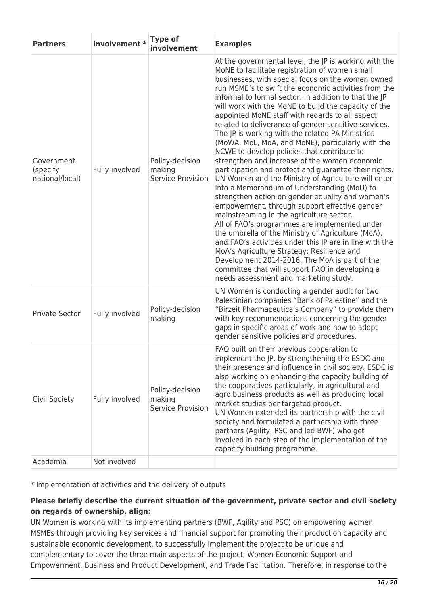| <b>Partners</b>                           | Involvement *  | <b>Type of</b><br>involvement                  | <b>Examples</b>                                                                                                                                                                                                                                                                                                                                                                                                                                                                                                                                                                                                                                                                                                                                                                                                                                                                                                                                                                                                                                                                                                                                                                                                                                                                                                                        |
|-------------------------------------------|----------------|------------------------------------------------|----------------------------------------------------------------------------------------------------------------------------------------------------------------------------------------------------------------------------------------------------------------------------------------------------------------------------------------------------------------------------------------------------------------------------------------------------------------------------------------------------------------------------------------------------------------------------------------------------------------------------------------------------------------------------------------------------------------------------------------------------------------------------------------------------------------------------------------------------------------------------------------------------------------------------------------------------------------------------------------------------------------------------------------------------------------------------------------------------------------------------------------------------------------------------------------------------------------------------------------------------------------------------------------------------------------------------------------|
| Government<br>(specify<br>national/local) | Fully involved | Policy-decision<br>making<br>Service Provision | At the governmental level, the JP is working with the<br>MoNE to facilitate registration of women small<br>businesses, with special focus on the women owned<br>run MSME's to swift the economic activities from the<br>informal to formal sector. In addition to that the JP<br>will work with the MoNE to build the capacity of the<br>appointed MoNE staff with regards to all aspect<br>related to deliverance of gender sensitive services.<br>The JP is working with the related PA Ministries<br>(MoWA, MoL, MoA, and MoNE), particularly with the<br>NCWE to develop policies that contribute to<br>strengthen and increase of the women economic<br>participation and protect and guarantee their rights.<br>UN Women and the Ministry of Agriculture will enter<br>into a Memorandum of Understanding (MoU) to<br>strengthen action on gender equality and women's<br>empowerment, through support effective gender<br>mainstreaming in the agriculture sector.<br>All of FAO's programmes are implemented under<br>the umbrella of the Ministry of Agriculture (MoA),<br>and FAO's activities under this JP are in line with the<br>MoA's Agriculture Strategy: Resilience and<br>Development 2014-2016. The MoA is part of the<br>committee that will support FAO in developing a<br>needs assessment and marketing study. |
| <b>Private Sector</b>                     | Fully involved | Policy-decision<br>making                      | UN Women is conducting a gender audit for two<br>Palestinian companies "Bank of Palestine" and the<br>"Birzeit Pharmaceuticals Company" to provide them<br>with key recommendations concerning the gender<br>gaps in specific areas of work and how to adopt<br>gender sensitive policies and procedures.                                                                                                                                                                                                                                                                                                                                                                                                                                                                                                                                                                                                                                                                                                                                                                                                                                                                                                                                                                                                                              |
| Civil Society                             | Fully involved | Policy-decision<br>making<br>Service Provision | FAO built on their previous cooperation to<br>implement the JP, by strengthening the ESDC and<br>their presence and influence in civil society. ESDC is<br>also working on enhancing the capacity building of<br>the cooperatives particularly, in agricultural and<br>agro business products as well as producing local<br>market studies per targeted product.<br>UN Women extended its partnership with the civil<br>society and formulated a partnership with three<br>partners (Agility, PSC and led BWF) who get<br>involved in each step of the implementation of the<br>capacity building programme.                                                                                                                                                                                                                                                                                                                                                                                                                                                                                                                                                                                                                                                                                                                           |
| Academia                                  | Not involved   |                                                |                                                                                                                                                                                                                                                                                                                                                                                                                                                                                                                                                                                                                                                                                                                                                                                                                                                                                                                                                                                                                                                                                                                                                                                                                                                                                                                                        |

\* Implementation of activities and the delivery of outputs

#### **Please briefly describe the current situation of the government, private sector and civil society on regards of ownership, align:**

UN Women is working with its implementing partners (BWF, Agility and PSC) on empowering women MSMEs through providing key services and financial support for promoting their production capacity and sustainable economic development, to successfully implement the project to be unique and complementary to cover the three main aspects of the project; Women Economic Support and Empowerment, Business and Product Development, and Trade Facilitation. Therefore, in response to the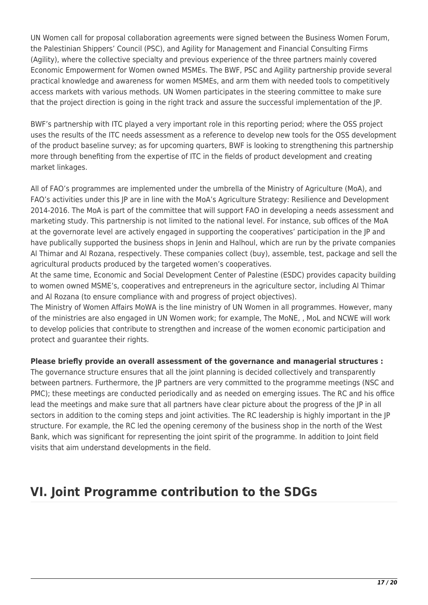UN Women call for proposal collaboration agreements were signed between the Business Women Forum, the Palestinian Shippers' Council (PSC), and Agility for Management and Financial Consulting Firms (Agility), where the collective specialty and previous experience of the three partners mainly covered Economic Empowerment for Women owned MSMEs. The BWF, PSC and Agility partnership provide several practical knowledge and awareness for women MSMEs, and arm them with needed tools to competitively access markets with various methods. UN Women participates in the steering committee to make sure that the project direction is going in the right track and assure the successful implementation of the JP.

BWF's partnership with ITC played a very important role in this reporting period; where the OSS project uses the results of the ITC needs assessment as a reference to develop new tools for the OSS development of the product baseline survey; as for upcoming quarters, BWF is looking to strengthening this partnership more through benefiting from the expertise of ITC in the fields of product development and creating market linkages.

All of FAO's programmes are implemented under the umbrella of the Ministry of Agriculture (MoA), and FAO's activities under this JP are in line with the MoA's Agriculture Strategy: Resilience and Development 2014-2016. The MoA is part of the committee that will support FAO in developing a needs assessment and marketing study. This partnership is not limited to the national level. For instance, sub offices of the MoA at the governorate level are actively engaged in supporting the cooperatives' participation in the JP and have publically supported the business shops in Jenin and Halhoul, which are run by the private companies Al Thimar and Al Rozana, respectively. These companies collect (buy), assemble, test, package and sell the agricultural products produced by the targeted women's cooperatives.

At the same time, Economic and Social Development Center of Palestine (ESDC) provides capacity building to women owned MSME's, cooperatives and entrepreneurs in the agriculture sector, including Al Thimar and Al Rozana (to ensure compliance with and progress of project objectives).

The Ministry of Women Affairs MoWA is the line ministry of UN Women in all programmes. However, many of the ministries are also engaged in UN Women work; for example, The MoNE, , MoL and NCWE will work to develop policies that contribute to strengthen and increase of the women economic participation and protect and guarantee their rights.

#### **Please briefly provide an overall assessment of the governance and managerial structures :**

The governance structure ensures that all the joint planning is decided collectively and transparently between partners. Furthermore, the JP partners are very committed to the programme meetings (NSC and PMC); these meetings are conducted periodically and as needed on emerging issues. The RC and his office lead the meetings and make sure that all partners have clear picture about the progress of the JP in all sectors in addition to the coming steps and joint activities. The RC leadership is highly important in the JP structure. For example, the RC led the opening ceremony of the business shop in the north of the West Bank, which was significant for representing the joint spirit of the programme. In addition to Joint field visits that aim understand developments in the field.

# **VI. Joint Programme contribution to the SDGs**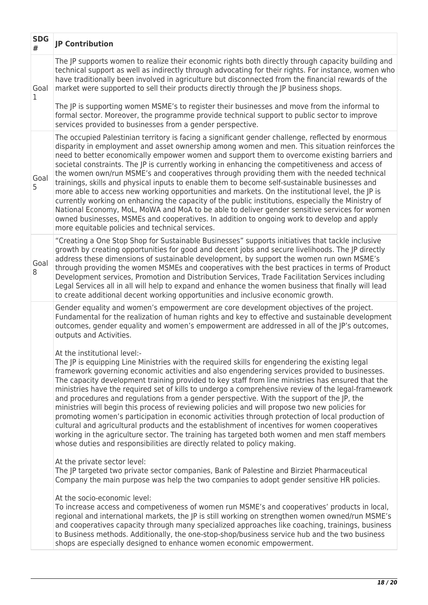| <b>SDG</b><br># | <b>JP Contribution</b>                                                                                                                                                                                                                                                                                                                                                                                                                                                                                                                                                                                                                                                                                                                                                                                                                                                                                                                                                                                                                                                                                                                                                                                                                                                                                                                                                                                                                                                                                                                                                                                                                                                                                                                                                                                                                                                                                                                                                                                                                                                                                |
|-----------------|-------------------------------------------------------------------------------------------------------------------------------------------------------------------------------------------------------------------------------------------------------------------------------------------------------------------------------------------------------------------------------------------------------------------------------------------------------------------------------------------------------------------------------------------------------------------------------------------------------------------------------------------------------------------------------------------------------------------------------------------------------------------------------------------------------------------------------------------------------------------------------------------------------------------------------------------------------------------------------------------------------------------------------------------------------------------------------------------------------------------------------------------------------------------------------------------------------------------------------------------------------------------------------------------------------------------------------------------------------------------------------------------------------------------------------------------------------------------------------------------------------------------------------------------------------------------------------------------------------------------------------------------------------------------------------------------------------------------------------------------------------------------------------------------------------------------------------------------------------------------------------------------------------------------------------------------------------------------------------------------------------------------------------------------------------------------------------------------------------|
| Goal<br>1       | The JP supports women to realize their economic rights both directly through capacity building and<br>technical support as well as indirectly through advocating for their rights. For instance, women who<br>have traditionally been involved in agriculture but disconnected from the financial rewards of the<br>market were supported to sell their products directly through the JP business shops.                                                                                                                                                                                                                                                                                                                                                                                                                                                                                                                                                                                                                                                                                                                                                                                                                                                                                                                                                                                                                                                                                                                                                                                                                                                                                                                                                                                                                                                                                                                                                                                                                                                                                              |
|                 | The JP is supporting women MSME's to register their businesses and move from the informal to<br>formal sector. Moreover, the programme provide technical support to public sector to improve<br>services provided to businesses from a gender perspective.                                                                                                                                                                                                                                                                                                                                                                                                                                                                                                                                                                                                                                                                                                                                                                                                                                                                                                                                                                                                                                                                                                                                                                                                                                                                                                                                                                                                                                                                                                                                                                                                                                                                                                                                                                                                                                            |
| Goal<br>5       | The occupied Palestinian territory is facing a significant gender challenge, reflected by enormous<br>disparity in employment and asset ownership among women and men. This situation reinforces the<br>need to better economically empower women and support them to overcome existing barriers and<br>societal constraints. The JP is currently working in enhancing the competitiveness and access of<br>the women own/run MSME's and cooperatives through providing them with the needed technical<br>trainings, skills and physical inputs to enable them to become self-sustainable businesses and<br>more able to access new working opportunities and markets. On the institutional level, the JP is<br>currently working on enhancing the capacity of the public institutions, especially the Ministry of<br>National Economy, MoL, MoWA and MoA to be able to deliver gender sensitive services for women<br>owned businesses, MSMEs and cooperatives. In addition to ongoing work to develop and apply<br>more equitable policies and technical services.                                                                                                                                                                                                                                                                                                                                                                                                                                                                                                                                                                                                                                                                                                                                                                                                                                                                                                                                                                                                                                  |
| Goal<br>8       | "Creating a One Stop Shop for Sustainable Businesses" supports initiatives that tackle inclusive<br>growth by creating opportunities for good and decent jobs and secure livelihoods. The JP directly<br>address these dimensions of sustainable development, by support the women run own MSME's<br>through providing the women MSMEs and cooperatives with the best practices in terms of Product<br>Development services, Promotion and Distribution Services, Trade Facilitation Services including<br>Legal Services all in all will help to expand and enhance the women business that finally will lead<br>to create additional decent working opportunities and inclusive economic growth.                                                                                                                                                                                                                                                                                                                                                                                                                                                                                                                                                                                                                                                                                                                                                                                                                                                                                                                                                                                                                                                                                                                                                                                                                                                                                                                                                                                                    |
|                 | Gender equality and women's empowerment are core development objectives of the project.<br>Fundamental for the realization of human rights and key to effective and sustainable development<br>outcomes, gender equality and women's empowerment are addressed in all of the JP's outcomes,<br>outputs and Activities.<br>At the institutional level:-<br>The JP is equipping Line Ministries with the required skills for engendering the existing legal<br>framework governing economic activities and also engendering services provided to businesses.<br>The capacity development training provided to key staff from line ministries has ensured that the<br>ministries have the required set of kills to undergo a comprehensive review of the legal-framework<br>and procedures and regulations from a gender perspective. With the support of the JP, the<br>ministries will begin this process of reviewing policies and will propose two new policies for<br>promoting women's participation in economic activities through protection of local production of<br>cultural and agricultural products and the establishment of incentives for women cooperatives<br>working in the agriculture sector. The training has targeted both women and men staff members<br>whose duties and responsibilities are directly related to policy making.<br>At the private sector level:<br>The JP targeted two private sector companies, Bank of Palestine and Birziet Pharmaceutical<br>Company the main purpose was help the two companies to adopt gender sensitive HR policies.<br>At the socio-economic level:<br>To increase access and competiveness of women run MSME's and cooperatives' products in local,<br>regional and international markets, the JP is still working on strengthen women owned/run MSME's<br>and cooperatives capacity through many specialized approaches like coaching, trainings, business<br>to Business methods. Additionally, the one-stop-shop/business service hub and the two business<br>shops are especially designed to enhance women economic empowerment. |